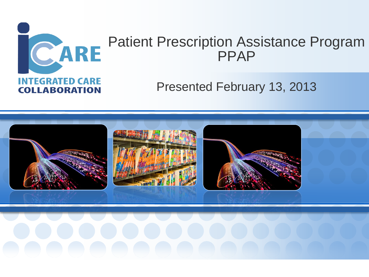

# Patient Prescription Assistance Program PPAP

### Presented February 13, 2013

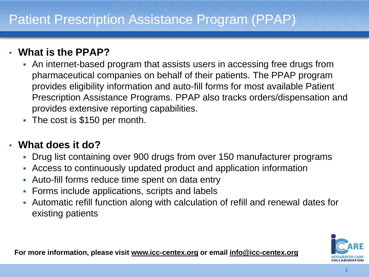#### • **What is the PPAP?**

- An internet-based program that assists users in accessing free drugs from pharmaceutical companies on behalf of their patients. The PPAP program provides eligibility information and auto-fill forms for most available Patient Prescription Assistance Programs. PPAP also tracks orders/dispensation and provides extensive reporting capabilities.
- The cost is \$150 per month.

#### • **What does it do?**

- Drug list containing over 900 drugs from over 150 manufacturer programs
- Access to continuously updated product and application information
- Auto-fill forms reduce time spent on data entry
- **Forms include applications, scripts and labels**
- Automatic refill function along with calculation of refill and renewal dates for existing patients



**For more information, please visit www.icc-centex.org or email info@icc-centex.org**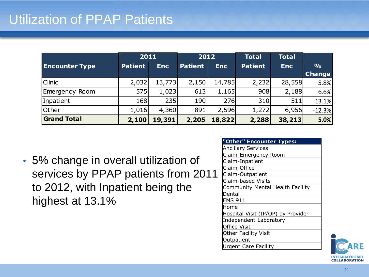## Utilization of PPAP Patients

|                       | 2011           |            | 2012           |            | <b>Total</b>   | <b>Total</b> |                                |
|-----------------------|----------------|------------|----------------|------------|----------------|--------------|--------------------------------|
| <b>Encounter Type</b> | <b>Patient</b> | <b>Enc</b> | <b>Patient</b> | <b>Enc</b> | <b>Patient</b> | <b>Enc</b>   | $\frac{0}{0}$<br><b>Change</b> |
| <b>Clinic</b>         | 2,032          | 13,773     | 2,150          | 14,785     | 2,232          | 28,558       | 5.8%                           |
| Emergency Room        | 575            | 1,023      | 613            | 1,165      | 908            | 2,188        | 6.6%                           |
| Inpatient             | <b>168</b>     | 235        | 190            | 276        | 310            | 511          | 13.1%                          |
| Other                 | 1,016          | 4,360      | 891            | 2,596      | 1,272          | 6,956        | $-12.3%$                       |
| <b>Grand Total</b>    | 2,100          | 19,391     | 2,205          | 18,822     | 2,288          | 38,213       | 5.0%                           |

• 5% change in overall utilization of services by PPAP patients from 2011 to 2012, with Inpatient being the highest at 13.1%

| "Other" Encounter Types:           |
|------------------------------------|
| <b>Ancillary Services</b>          |
| Claim-Emergency Room               |
| Claim-Inpatient                    |
| Claim-Office                       |
| Claim-Outpatient                   |
| Claim-based Visits                 |
| Community Mental Health Facility   |
| Dental                             |
| <b>EMS 911</b>                     |
| lHome                              |
| Hospital Visit (IP/OP) by Provider |
| Independent Laboratory             |
| <b>Office Visit</b>                |
| <b>Other Facility Visit</b>        |
| Outpatient                         |
| <b>Urgent Care Facility</b>        |

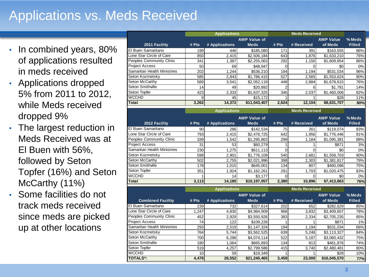# Applications vs. Meds Received

- In combined years, 80% of applications resulted in meds received
- Applications dropped 5% from 2011 to 2012, while Meds received dropped 9%
- The largest reduction in Meds Received was at El Buen with 56%, followed by Seton Topfer (16%) and Seton McCarthy (11%)
- Some facilities do not track meds received since meds are picked up at other locations

|                             | <b>Applications</b> |                     |                     | <b>Meds Received</b> |                      |                  |               |
|-----------------------------|---------------------|---------------------|---------------------|----------------------|----------------------|------------------|---------------|
|                             |                     |                     | <b>AWP Value of</b> |                      |                      | <b>AWP Value</b> | % Meds        |
| 2011 Facility               | # $Pts$             | # Applications      | <b>Meds</b>         | # $Pts$              | # Received           | of Meds          | <b>Filled</b> |
| El Buen Samaritano          | 199                 | 446                 | \$185,080           | 171                  | 391                  | \$163,555        | 86%           |
| Lone Star Circle of Care    | 850                 | 2,415               | \$2,506,184         | 643                  | 1.876                | \$1,633,210      | 76%           |
| Peoples Community Clinic    | 341                 | 1,387               | \$2,255,063         | 292                  | 1,150                | \$1,609,854      | 86%           |
| <b>Project Access</b>       | 50                  | 69                  | \$48,947            | ∩                    |                      | \$0              | 0%            |
| Samaritan Health Ministries | 202                 | 1,244               | \$536,210           | 194                  | 1,194                | \$531,034        | 96%           |
| Seton Kozmetsky             | 585                 | 2,843               | \$1,786,415         | 527                  | 2,565                | \$1,553,624      | 90%           |
| Seton McCarthy              | 589                 | 3,541               | \$2,052,119         | 448                  | 2,884                | \$1,678,615      | 76%           |
| Seton Smithville            | 14                  | 49                  | \$20,892            |                      | 6                    | \$1,781          | 14%           |
| Seton Topfer                | 423                 | 2,333               | \$1,637,325         | 346                  | 2,037                | \$1,460,006      | 82%           |
| <b>WCCHD</b>                |                     | 45                  | \$15, 172           |                      |                      | \$28             | 11%           |
| Total                       | 3,262               | 14,372              | \$11,043,407        | 2,624                | 12,104               | \$8,631,707      | 80%           |
|                             |                     | <b>Applications</b> |                     |                      | <b>Meds Received</b> |                  |               |
|                             |                     |                     | <b>AWP Value of</b> |                      |                      | <b>AWP Value</b> | % Meds        |
| 2012 Facility               | # $Pts$             | # Applications      | <b>Meds</b>         | # Pts                | # Received           | of Meds          | <b>Filled</b> |
| El Buen Samaritano          | 90                  | 286                 | \$142,534           | 75                   | 261                  | \$119,074        | 83%           |
| Lone Star Circle of Care    | 793                 | 2,415               | \$2,478,725         | 642                  | 1,956                | \$1,776,446      | 81%           |
| Peoples Community Clinic    | 339                 | 1,542               | \$1,295,863         | 299                  | 1,184                | \$1,095,381      | 88%           |
| <b>Project Access</b>       | 31                  | 53                  | \$60,279            |                      |                      | \$871            | 3%            |
| Samaritan Health Ministries | 230                 | 1,275               | \$611,113           | $\Omega$             | 0                    | \$0              | 0%            |
| Seton Kozmetsky             | 598                 | 2,901               | \$1,776,109         | 540                  | 2,681                | \$1,559,703      | 90%           |

Seton McCarthy 502 2,755 \$2,021,996 398 2,303 \$1,381,817 79% Seton Smithville | 178 | 1,015 | \$645,001 | 134 | 807 | \$460,096 | 75% Seton Topfer 351 1,924 \$1,162,261 291 1,703 \$1,020,475 83% WCCHD 1 14 \$3,177 0 0 \$0 0%

| <b>Total</b>                | 3,113               | 14.180         | \$10,197,057        | 2,380                | 10.896     | \$7,413,863      | 76%           |
|-----------------------------|---------------------|----------------|---------------------|----------------------|------------|------------------|---------------|
|                             | <b>Applications</b> |                |                     | <b>Meds Received</b> |            |                  |               |
|                             |                     |                | <b>AWP Value of</b> |                      |            | <b>AWP Value</b> | % Meds        |
| <b>Combined Facility</b>    | # Pts               | # Applications | <b>Meds</b>         | # $Pts$              | # Received | of Meds          | <b>Filled</b> |
| El Buen Samaritano          | 239I                | 7321           | \$327,614           | 202                  | 652        | \$282,629        | 85%           |
| Lone Star Circle of Care    | 1,247               | 4,830          | \$4,984,909         | 968                  | 3,832      | \$3,409,657      | 78%           |
| Peoples Community Clinic    | 452I                | 2,929          | \$3,550,926         | 383                  | 2,334      | \$2,705,235      | 85%           |
| <b>Project Access</b>       | 74                  | 122            | \$109.226           |                      |            | \$871            | 1%            |
| Samaritan Health Ministries | 293I                | 2,519          | \$1.147.324         | 194                  | 1,194      | \$531,034        | 66%           |
| Seton Kozmetsky             | 764I                | 5,744          | \$3,562,525         | 639                  | 5,246      | \$3,113,327      | 84%           |
| Seton McCarthy              | 700l                | 6,296          | \$4,074,114]        | 522                  | 5,187      | \$3,060,432      | 75%           |
| Seton Smithville            | 180                 | 1,064          | \$665,893           | 134                  | 813        | \$461,876        | 74%           |
| Seton Topfer                | 519                 | 4,257          | \$2.799.586         | 415                  | 3.740      | \$2,480,481      | 80%           |
| <b>WCCHD</b>                | 10 <sup>1</sup>     | 59             | \$18,349            |                      |            | \$28             | 10%           |
| <b>TOTALS*:</b>             | 4,478               | 28,552         | \$21,240,465        | 3,459                | 23,000     | \$16,045,570     | 77%           |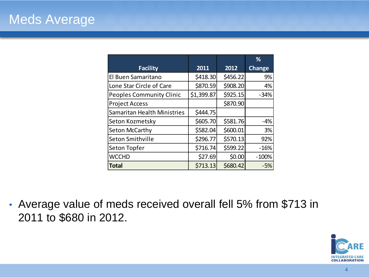|                                    |            |          | %             |
|------------------------------------|------------|----------|---------------|
| <b>Facility</b>                    | 2011       | 2012     | <b>Change</b> |
| El Buen Samaritano                 | \$418.30   | \$456.22 | 9%            |
| Lone Star Circle of Care           | \$870.59   | \$908.20 | 4%            |
| <b>Peoples Community Clinic</b>    | \$1,399.87 | \$925.15 | $-34%$        |
| <b>Project Access</b>              |            | \$870.90 |               |
| <b>Samaritan Health Ministries</b> | \$444.75   |          |               |
| Seton Kozmetsky                    | \$605.70   | \$581.76 | $-4%$         |
| Seton McCarthy                     | \$582.04   | \$600.01 | 3%            |
| Seton Smithville                   | \$296.77   | \$570.13 | 92%           |
| Seton Topfer                       | \$716.74   | \$599.22 | $-16%$        |
| <b>WCCHD</b>                       | \$27.69    | \$0.00   | $-100%$       |
| <b>Total</b>                       | \$713.13   | \$680.42 | $-5%$         |

• Average value of meds received overall fell 5% from \$713 in 2011 to \$680 in 2012.